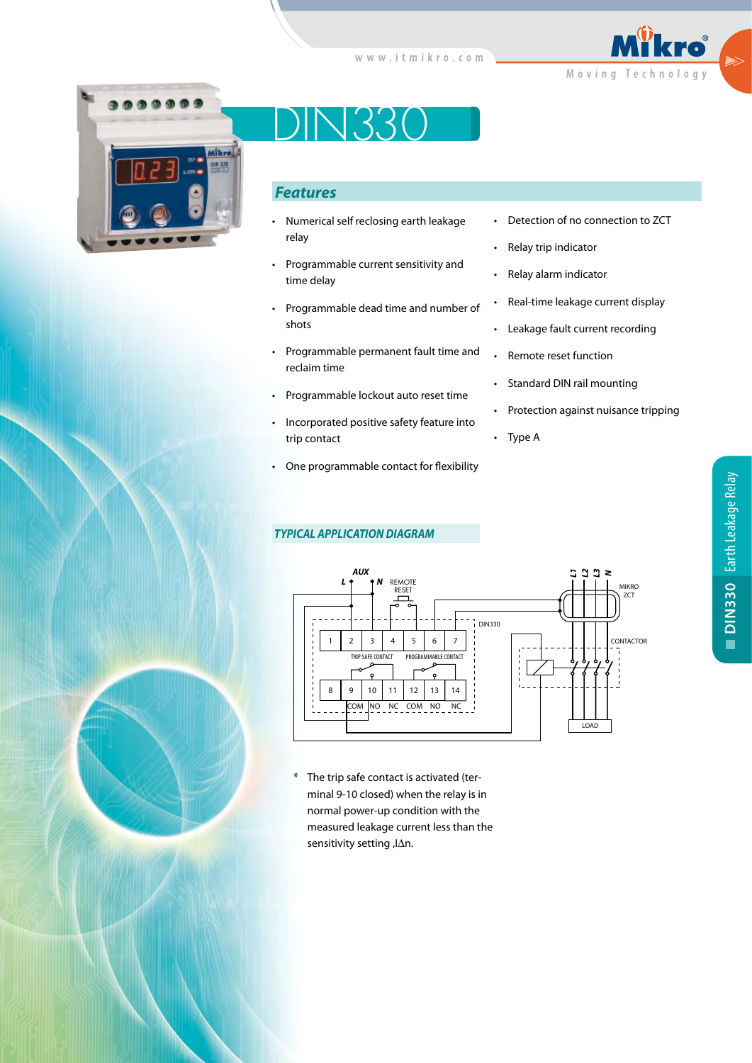



DIN330

# *Features*

- Numerical self reclosing earth leakage relay
- Programmable current sensitivity and time delay
- Programmable dead time and number of shots
- Programmable permanent fault time and reclaim time
- Programmable lockout auto reset time
- Incorporated positive safety feature into trip contact
- One programmable contact for flexibility

## *TYPICAL APPLICATION DIAGRAM*

- Detection of no connection to ZCT
- Relay trip indicator
- Relay alarm indicator
- Real-time leakage current display
- Leakage fault current recording
- Remote reset function
- Standard DIN rail mounting
- Protection against nuisance tripping
- Type A



\* The trip safe contact is activated (terminal 9-10 closed) when the relay is in normal power-up condition with the measured leakage current less than the sensitivity setting, JAn.